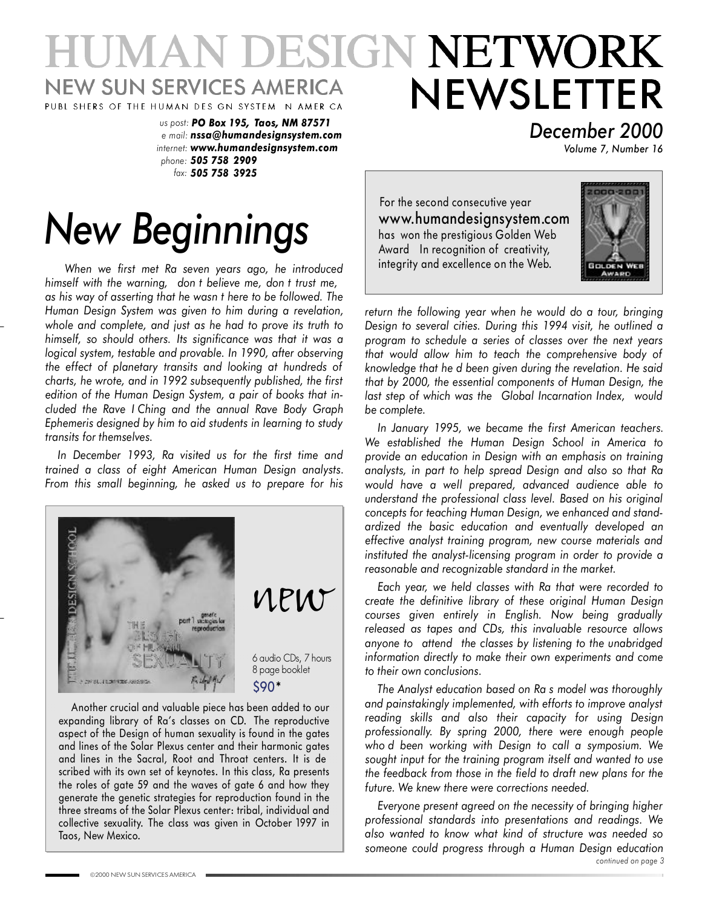## ESIGN NETWORK UMAN DI NEWSLETTER **NEW SUN SERVICES AMERICA** PUBL SHERS OF THE HUMAN DES GN SYSTEM N AMER CA

*us post: PO Box 195, Taos, NM 87571 e mail: nssa@humandesignsystem.com internet: www.humandesignsystem.com phone: 505 758 2909 fax: 505 758 3925*

# *New Beginnings*

*When we first met Ra seven years ago, he introduced himself with the warning, don t believe me, don t trust me, as his way of asserting that he wasn t here to be followed. The Human Design System was given to him during a revelation, whole and complete, and just as he had to prove its truth to himself, so should others. Its significance was that it was a logical system, testable and provable. In 1990, after observing the effect of planetary transits and looking at hundreds of charts, he wrote, and in 1992 subsequently published, the first edition of the Human Design System, a pair of books that included the Rave I Ching and the annual Rave Body Graph Ephemeris designed by him to aid students in learning to study transits for themselves.*

*In December 1993, Ra visited us for the first time and trained a class of eight American Human Design analysts. From this small beginning, he asked us to prepare for his*



Another crucial and valuable piece has been added to our expanding library of Ra's classes on CD. The reproductive aspect of the Design of human sexuality is found in the gates and lines of the Solar Plexus center and their harmonic gates and lines in the Sacral, Root and Throat centers. It is de scribed with its own set of keynotes. In this class, Ra presents the roles of gate 59 and the waves of gate 6 and how they generate the genetic strategies for reproduction found in the three streams of the Solar Plexus center: tribal, individual and collective sexuality. The class was given in October 1997 in Taos, New Mexico.

*December 2000*

*Volume 7, Number 16*

For the second consecutive year www.humandesignsystem.com has won the prestigious Golden Web Award In recognition of creativity, integrity and excellence on the Web.



*return the following year when he would do a tour, bringing Design to several cities. During this 1994 visit, he outlined a program to schedule a series of classes over the next years that would allow him to teach the comprehensive body of knowledge that he d been given during the revelation. He said that by 2000, the essential components of Human Design, the last step of which was the Global Incarnation Index, would be complete.*

*In January 1995, we became the first American teachers. We established the Human Design School in America to provide an education in Design with an emphasis on training analysts, in part to help spread Design and also so that Ra would have a well prepared, advanced audience able to understand the professional class level. Based on his original concepts for teaching Human Design, we enhanced and standardized the basic education and eventually developed an effective analyst training program, new course materials and instituted the analyst-licensing program in order to provide a reasonable and recognizable standard in the market.*

*Each year, we held classes with Ra that were recorded to create the definitive library of these original Human Design courses given entirely in English. Now being gradually released as tapes and CDs, this invaluable resource allows anyone to attend the classes by listening to the unabridged information directly to make their own experiments and come to their own conclusions.*

*The Analyst education based on Ra s model was thoroughly and painstakingly implemented, with efforts to improve analyst reading skills and also their capacity for using Design professionally. By spring 2000, there were enough people who d been working with Design to call a symposium. We sought input for the training program itself and wanted to use the feedback from those in the field to draft new plans for the future. We knew there were corrections needed.*

*Everyone present agreed on the necessity of bringing higher professional standards into presentations and readings. We also wanted to know what kind of structure was needed so someone could progress through a Human Design education continued on page 3*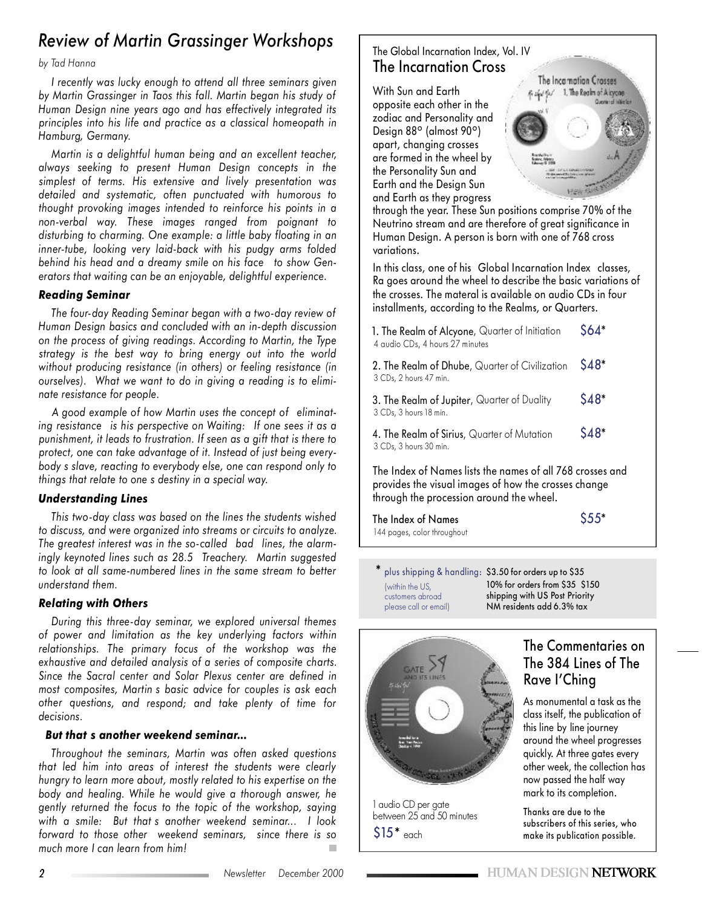## *Review of Martin Grassinger Workshops*

#### *by Tad Hanna*

*I recently was lucky enough to attend all three seminars given by Martin Grassinger in Taos this fall. Martin began his study of Human Design nine years ago and has effectively integrated its principles into his life and practice as a classical homeopath in Hamburg, Germany.*

*Martin is a delightful human being and an excellent teacher, always seeking to present Human Design concepts in the simplest of terms. His extensive and lively presentation was detailed and systematic, often punctuated with humorous to thought provoking images intended to reinforce his points in a non-verbal way. These images ranged from poignant to disturbing to charming. One example: a little baby floating in an inner-tube, looking very laid-back with his pudgy arms folded behind his head and a dreamy smile on his face to show Generators that waiting can be an enjoyable, delightful experience.*

#### *Reading Seminar*

*The four-day Reading Seminar began with a two-day review of Human Design basics and concluded with an in-depth discussion on the process of giving readings. According to Martin, the Type strategy is the best way to bring energy out into the world without producing resistance (in others) or feeling resistance (in ourselves). What we want to do in giving a reading is to eliminate resistance for people.*

*A good example of how Martin uses the concept of eliminating resistance is his perspective on Waiting: If one sees it as a punishment, it leads to frustration. If seen as a gift that is there to protect, one can take advantage of it. Instead of just being everybody s slave, reacting to everybody else, one can respond only to things that relate to one s destiny in a special way.*

#### *Understanding Lines*

*This two-day class was based on the lines the students wished to discuss, and were organized into streams or circuits to analyze. The greatest interest was in the so-called bad lines, the alarmingly keynoted lines such as 28.5 Treachery. Martin suggested to look at all same-numbered lines in the same stream to better understand them.*

#### *Relating with Others*

*During this three-day seminar, we explored universal themes of power and limitation as the key underlying factors within relationships. The primary focus of the workshop was the exhaustive and detailed analysis of a series of composite charts. Since the Sacral center and Solar Plexus center are defined in most composites, Martin s basic advice for couples is ask each other questions, and respond; and take plenty of time for decisions.*

#### *But that s another weekend seminar...*

*Throughout the seminars, Martin was often asked questions that led him into areas of interest the students were clearly hungry to learn more about, mostly related to his expertise on the body and healing. While he would give a thorough answer, he gently returned the focus to the topic of the workshop, saying with a smile: But that s another weekend seminar... I look forward to those other weekend seminars, since there is so much more I can learn from him!*

#### The Global Incarnation Index, Vol. IV The Incarnation Cross

With Sun and Earth opposite each other in the zodiac and Personality and Design 88º (almost 90º) apart, changing crosses are formed in the wheel by the Personality Sun and Earth and the Design Sun and Earth as they progress



through the year. These Sun positions comprise 70% of the Neutrino stream and are therefore of great significance in Human Design. A person is born with one of 768 cross variations.

In this class, one of his Global Incarnation Index classes, Ra goes around the wheel to describe the basic variations of the crosses. The materal is available on audio CDs in four installments, according to the Realms, or Quarters.

| 1. The Realm of Alcyone, Quarter of Initiation<br>4 audio CDs, 4 hours 27 minutes                                 | $$64*$ |  |  |
|-------------------------------------------------------------------------------------------------------------------|--------|--|--|
| 2. The Realm of Dhube, Quarter of Civilization<br>3 CDs, 2 hours 47 min.                                          | $$48*$ |  |  |
| 3. The Realm of Jupiter, Quarter of Duality<br>3 CDs, 3 hours 18 min.                                             | $$48*$ |  |  |
| 4. The Realm of Sirius, Quarter of Mutation<br>3 CDs, 3 hours 30 min.                                             | $$48*$ |  |  |
| The Index of Names lists the names of all 768 crosses and<br>provides the visual images of how the crosses change |        |  |  |

provides the visual images of how the crosses change through the procession around the wheel.

| The Index of Names          | $$555*$ |
|-----------------------------|---------|
| 144 pages, color throughout |         |

 $*$  plus shipping & handling: \$3.50 for orders up to \$35 (within the US, customers abroad please call or email)

10% for orders from \$35 \$150 shipping with US Post Priority NM residents add 6.3% tax



between 25 and 50 minutes

 $$15*$  each

### The Commentaries on The 384 Lines of The Rave I'Ching

As monumental a task as the class itself, the publication of this line by line journey around the wheel progresses quickly. At three gates every other week, the collection has now passed the half way mark to its completion.

Thanks are due to the subscribers of this series, who make its publication possible.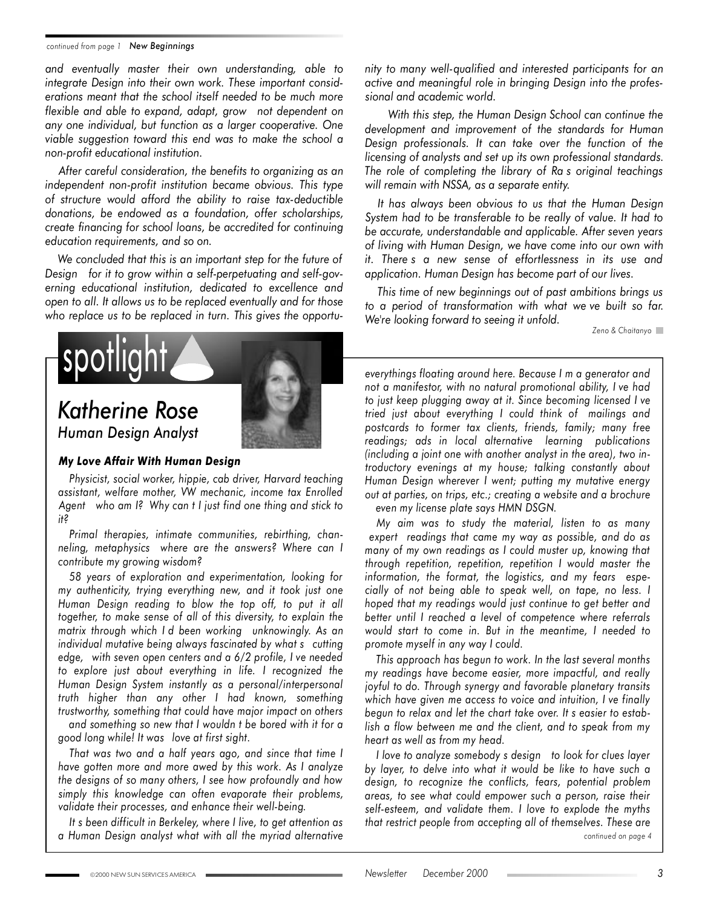#### *continued from page 1 New Beginnings*

*and eventually master their own understanding, able to integrate Design into their own work. These important considerations meant that the school itself needed to be much more flexible and able to expand, adapt, grow not dependent on any one individual, but function as a larger cooperative. One viable suggestion toward this end was to make the school a non-profit educational institution.*

*After careful consideration, the benefits to organizing as an independent non-profit institution became obvious. This type of structure would afford the ability to raise tax-deductible donations, be endowed as a foundation, offer scholarships, create financing for school loans, be accredited for continuing education requirements, and so on.*

*We concluded that this is an important step for the future of Design for it to grow within a self-perpetuating and self-governing educational institution, dedicated to excellence and open to all. It allows us to be replaced eventually and for those who replace us to be replaced in turn. This gives the opportu-*



## *Katherine Rose*



*Human Design Analyst*

#### *My Love Affair With Human Design*

*Physicist, social worker, hippie, cab driver, Harvard teaching assistant, welfare mother, VW mechanic, income tax Enrolled Agent who am I? Why can t I just find one thing and stick to it?*

*Primal therapies, intimate communities, rebirthing, channeling, metaphysics where are the answers? Where can I contribute my growing wisdom?*

*58 years of exploration and experimentation, looking for my authenticity, trying everything new, and it took just one Human Design reading to blow the top off, to put it all together, to make sense of all of this diversity, to explain the matrix through which I d been working unknowingly. As an individual mutative being always fascinated by what s cutting edge, with seven open centers and a 6/2 profile, I ve needed to explore just about everything in life. I recognized the Human Design System instantly as a personal/interpersonal truth higher than any other I had known, something trustworthy, something that could have major impact on others and something so new that I wouldn t be bored with it for a good long while! It was love at first sight.*

*That was two and a half years ago, and since that time I have gotten more and more awed by this work. As I analyze the designs of so many others, I see how profoundly and how simply this knowledge can often evaporate their problems, validate their processes, and enhance their well-being.*

*It s been difficult in Berkeley, where I live, to get attention as a Human Design analyst what with all the myriad alternative* *nity to many well-qualified and interested participants for an active and meaningful role in bringing Design into the professional and academic world.*

*With this step, the Human Design School can continue the development and improvement of the standards for Human Design professionals. It can take over the function of the licensing of analysts and set up its own professional standards. The role of completing the library of Ra s original teachings will remain with NSSA, as a separate entity.*

*It has always been obvious to us that the Human Design System had to be transferable to be really of value. It had to be accurate, understandable and applicable. After seven years of living with Human Design, we have come into our own with it. There s a new sense of effortlessness in its use and application. Human Design has become part of our lives.*

*This time of new beginnings out of past ambitions brings us to a period of transformation with what we ve built so far. We're looking forward to seeing it unfold.*

*Zeno & Chaitanyo*

*everythings floating around here. Because I m a generator and not a manifestor, with no natural promotional ability, I ve had to just keep plugging away at it. Since becoming licensed I ve tried just about everything I could think of mailings and postcards to former tax clients, friends, family; many free readings; ads in local alternative learning publications (including a joint one with another analyst in the area), two introductory evenings at my house; talking constantly about Human Design wherever I went; putting my mutative energy out at parties, on trips, etc.; creating a website and a brochure*

*even my license plate says HMN DSGN.*

*My aim was to study the material, listen to as many expert readings that came my way as possible, and do as many of my own readings as I could muster up, knowing that through repetition, repetition, repetition I would master the information, the format, the logistics, and my fears especially of not being able to speak well, on tape, no less. I hoped that my readings would just continue to get better and better until I reached a level of competence where referrals would start to come in. But in the meantime, I needed to promote myself in any way I could.*

*This approach has begun to work. In the last several months my readings have become easier, more impactful, and really joyful to do. Through synergy and favorable planetary transits which have given me access to voice and intuition, I ve finally begun to relax and let the chart take over. It s easier to establish a flow between me and the client, and to speak from my heart as well as from my head.*

*continued on page 4 I love to analyze somebody s design to look for clues layer by layer, to delve into what it would be like to have such a design, to recognize the conflicts, fears, potential problem areas, to see what could empower such a person, raise their self-esteem, and validate them. I love to explode the myths that restrict people from accepting all of themselves. These are*